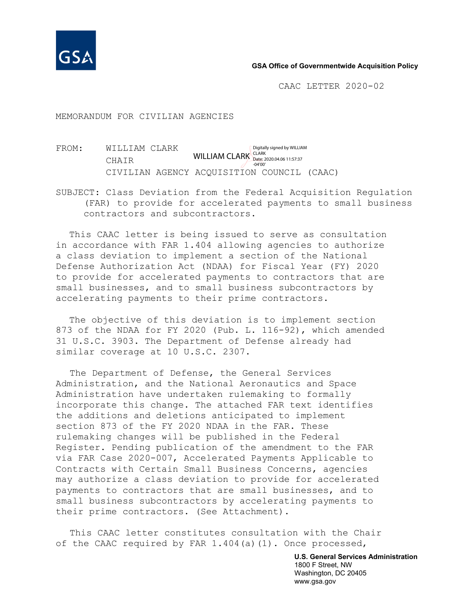

#### **GSA Office of Governmentwide Acquisition Policy**

CAAC LETTER 2020-02

MEMORANDUM FOR CIVILIAN AGENCIES

FROM: WILLIAM CLARK CHAIR CIVILIAN AGENCY ACQUISITION COUNCIL (CAAC) WILLIAM CLARK CLARK 2020.04.06 11:57:37 Digitally signed by WILLIAM -04'00'

SUBJECT: Class Deviation from the Federal Acquisition Regulation (FAR) to provide for accelerated payments to small business contractors and subcontractors.

This CAAC letter is being issued to serve as consultation in accordance with FAR 1.404 allowing agencies to authorize a class deviation to implement a section of the National Defense Authorization Act (NDAA) for Fiscal Year (FY) 2020 to provide for accelerated payments to contractors that are small businesses, and to small business subcontractors by accelerating payments to their prime contractors.

The objective of this deviation is to implement section 873 of the NDAA for FY 2020 (Pub. L. 116-92), which amended 31 U.S.C. 3903. The Department of Defense already had similar coverage at 10 U.S.C. 2307.

The Department of Defense, the General Services Administration, and the National Aeronautics and Space Administration have undertaken rulemaking to formally incorporate this change. The attached FAR text identifies the additions and deletions anticipated to implement section 873 of the FY 2020 NDAA in the FAR. These rulemaking changes will be published in the Federal Register. Pending publication of the amendment to the FAR via FAR Case 2020-007, Accelerated Payments Applicable to Contracts with Certain Small Business Concerns, agencies may authorize a class deviation to provide for accelerated payments to contractors that are small businesses, and to small business subcontractors by accelerating payments to their prime contractors. (See Attachment).

This CAAC letter constitutes consultation with the Chair of the CAAC required by FAR  $1.404(a)(1)$ . Once processed,

> **U.S. General Services Administration** 1800 F Street, NW Washington, DC 20405 www.gsa.gov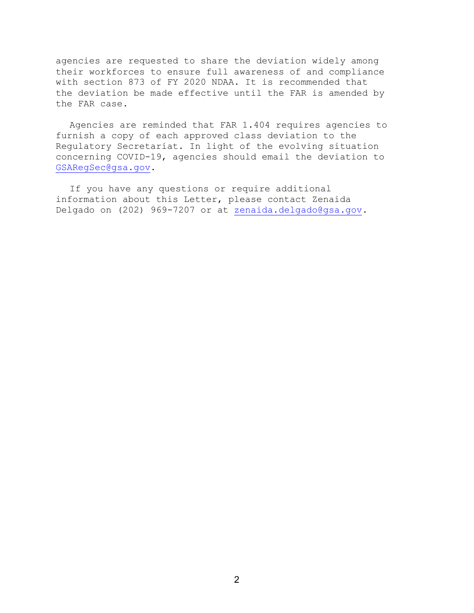agencies are requested to share the deviation widely among their workforces to ensure full awareness of and compliance with section 873 of FY 2020 NDAA. It is recommended that the deviation be made effective until the FAR is amended by the FAR case.

Agencies are reminded that FAR 1.404 requires agencies to furnish a copy of each approved class deviation to the Regulatory Secretariat. In light of the evolving situation concerning COVID-19, agencies should email the deviation to [GSARegSec@gsa.gov.](mailto:GSARegSec@gsa.gov)

If you have any questions or require additional information about this Letter, please contact Zenaida Delgado on (202) 969-7207 or at [zenaida.delgado@gsa.gov.](mailto:zenaida.delgado@gsa.gov)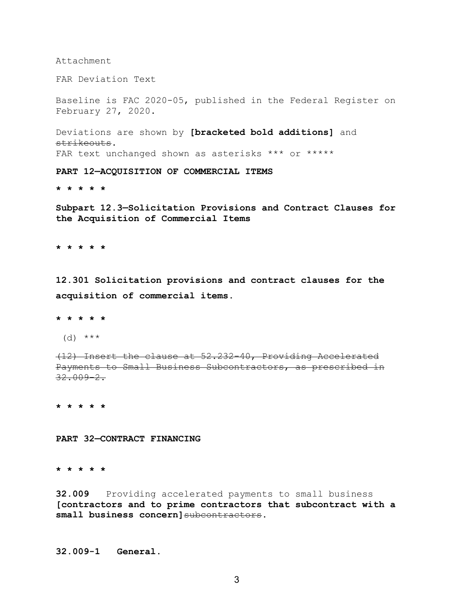Attachment

FAR Deviation Text

Baseline is FAC 2020-05, published in the Federal Register on February 27, 2020.

Deviations are shown by **[bracketed bold additions]** and strikeouts. FAR text unchanged shown as asterisks \*\*\* or \*\*\*\*\*

**PART 12—ACQUISITION OF COMMERCIAL ITEMS**

**\* \* \* \* \***

**Subpart 12.3—Solicitation Provisions and Contract Clauses for the Acquisition of Commercial Items**

**\* \* \* \* \***

**12.301 Solicitation provisions and contract clauses for the acquisition of commercial items.**

**\* \* \* \* \***

 $(d)$  \*\*\*

(12) Insert the clause at 52.232-40, Providing Accelerated Payments to Small Business Subcontractors, as prescribed in 32.009-2.

**\* \* \* \* \***

**PART 32—CONTRACT FINANCING**

**\* \* \* \* \***

**32.009** Providing accelerated payments to small business **[contractors and to prime contractors that subcontract with a small business concern]**subcontractors**.**

**32.009-1 General.**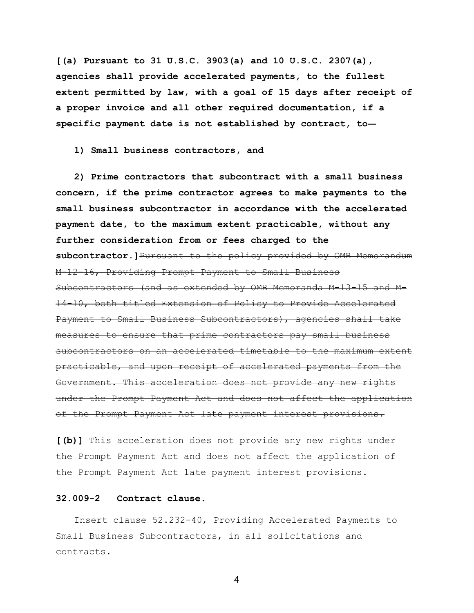**[(a) Pursuant to 31 U.S.C. 3903(a) and 10 U.S.C. 2307(a), agencies shall provide accelerated payments, to the fullest extent permitted by law, with a goal of 15 days after receipt of a proper invoice and all other required documentation, if a specific payment date is not established by contract, to—**

**1) Small business contractors, and**

**2) Prime contractors that subcontract with a small business concern, if the prime contractor agrees to make payments to the small business subcontractor in accordance with the accelerated payment date, to the maximum extent practicable, without any further consideration from or fees charged to the subcontractor.]**Pursuant to the policy provided by OMB Memorandum M-12-16, Providing Prompt Payment to Small Business Subcontractors (and as extended by OMB Memoranda M-13-15 and M-14-10, both titled Extension of Policy to Provide Accelerated Payment to Small Business Subcontractors), agencies shall take measures to ensure that prime contractors pay small business subcontractors on an accelerated timetable to the maximum extent practicable, and upon receipt of accelerated payments from the Government. This acceleration does not provide any new rights under the Prompt Payment Act and does not affect the application of the Prompt Payment Act late payment interest provisions.

**[(b)]** This acceleration does not provide any new rights under the Prompt Payment Act and does not affect the application of the Prompt Payment Act late payment interest provisions.

### **32.009-2 Contract clause.**

Insert clause 52.232-40, Providing Accelerated Payments to Small Business Subcontractors, in all solicitations and contracts.

4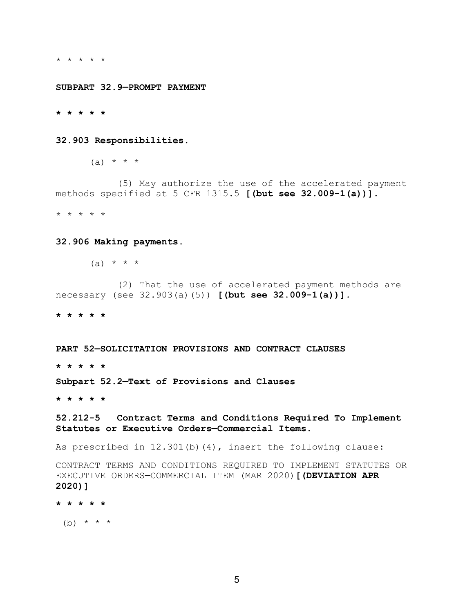\* \* \* \* \*

**SUBPART 32.9—PROMPT PAYMENT**

**\* \* \* \* \***

**32.903 Responsibilities.**

 $(a) * * * * *$ 

 (5) May authorize the use of the accelerated payment methods specified at 5 CFR 1315.5 **[(but see 32.009-1(a))]**.

\* \* \* \* \*

#### **32.906 Making payments.**

 $(a) * * * * *$ 

 (2) That the use of accelerated payment methods are necessary (see 32.903(a)(5)) **[(but see 32.009-1(a))]**.

**\* \* \* \* \***

**PART 52—SOLICITATION PROVISIONS AND CONTRACT CLAUSES**

**\* \* \* \* \***

**Subpart 52.2—Text of Provisions and Clauses**

**\* \* \* \* \***

**52.212-5 Contract Terms and Conditions Required To Implement Statutes or Executive Orders—Commercial Items.**

As prescribed in 12.301(b)(4), insert the following clause:

CONTRACT TERMS AND CONDITIONS REQUIRED TO IMPLEMENT STATUTES OR EXECUTIVE ORDERS—COMMERCIAL ITEM (MAR 2020)**[(DEVIATION APR 2020)]**

**\* \* \* \* \***

(b)  $* * * *$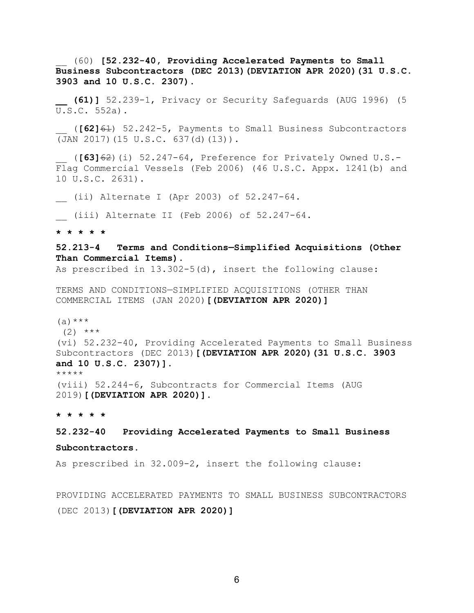\_\_ (60) **[52.232-40, Providing Accelerated Payments to Small Business Subcontractors (DEC 2013)(DEVIATION APR 2020)(31 U.S.C. 3903 and 10 U.S.C. 2307).**

**\_\_ (61)]** 52.239-1, Privacy or Security Safeguards (AUG 1996) (5 U.S.C. 552a).

\_\_ (**[62]**61) 52.242-5, Payments to Small Business Subcontractors (JAN 2017)(15 U.S.C. 637(d)(13)).

\_\_ (**[63]**62)(i) 52.247-64, Preference for Privately Owned U.S.- Flag Commercial Vessels (Feb 2006) (46 U.S.C. Appx. 1241(b) and 10 U.S.C. 2631).

\_\_ (ii) Alternate I (Apr 2003) of 52.247-64.

\_\_ (iii) Alternate II (Feb 2006) of 52.247-64.

**\* \* \* \* \***

## **52.213-4 Terms and Conditions—Simplified Acquisitions (Other Than Commercial Items).**

As prescribed in 13.302-5(d), insert the following clause:

TERMS AND CONDITIONS—SIMPLIFIED ACQUISITIONS (OTHER THAN COMMERCIAL ITEMS (JAN 2020)**[(DEVIATION APR 2020)]**

 $(a)$  \*\*\*

 $(2)$  \*\*\*

(vi) 52.232-40, Providing Accelerated Payments to Small Business Subcontractors (DEC 2013)**[(DEVIATION APR 2020)(31 U.S.C. 3903 and 10 U.S.C. 2307)]**.

\*\*\*\*\*

(viii) 52.244-6, Subcontracts for Commercial Items (AUG 2019)**[(DEVIATION APR 2020)]**.

#### **\* \* \* \* \***

# **52.232-40 Providing Accelerated Payments to Small Business**

# **Subcontractors.**

As prescribed in 32.009-2, insert the following clause:

PROVIDING ACCELERATED PAYMENTS TO SMALL BUSINESS SUBCONTRACTORS (DEC 2013)**[(DEVIATION APR 2020)]**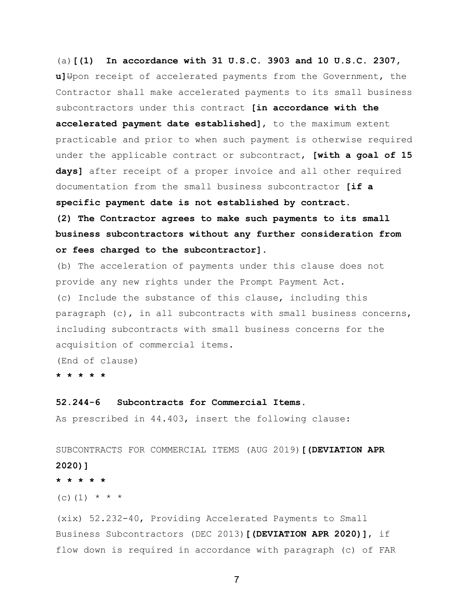(a)**[(1) In accordance with 31 U.S.C. 3903 and 10 U.S.C. 2307,** u] Upon receipt of accelerated payments from the Government, the Contractor shall make accelerated payments to its small business subcontractors under this contract **[in accordance with the accelerated payment date established]**, to the maximum extent practicable and prior to when such payment is otherwise required under the applicable contract or subcontract, **[with a goal of 15 days]** after receipt of a proper invoice and all other required documentation from the small business subcontractor **[if a specific payment date is not established by contract. (2) The Contractor agrees to make such payments to its small business subcontractors without any further consideration from or fees charged to the subcontractor]**.

(b) The acceleration of payments under this clause does not provide any new rights under the Prompt Payment Act. (c) Include the substance of this clause, including this paragraph (c), in all subcontracts with small business concerns, including subcontracts with small business concerns for the acquisition of commercial items.

(End of clause)

**\* \* \* \* \***

#### **52.244-6 Subcontracts for Commercial Items.**

As prescribed in 44.403, insert the following clause:

SUBCONTRACTS FOR COMMERCIAL ITEMS (AUG 2019)**[(DEVIATION APR 2020)] \* \* \* \* \***

(c) (1)  $* * * *$ 

(xix) 52.232-40, Providing Accelerated Payments to Small Business Subcontractors (DEC 2013)**[(DEVIATION APR 2020)]**, if flow down is required in accordance with paragraph (c) of FAR

7